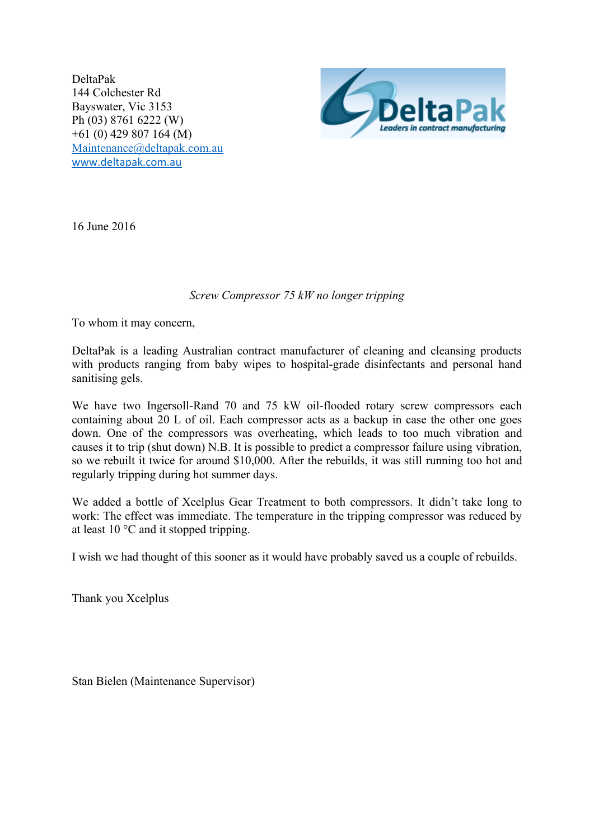DeltaPak 144 Colchester Rd Bayswater, Vic 3153 Ph (03) 8761 6222 (W) +61 (0) 429 807 164 (M) [Maintenance@deltapak.com.au](mailto:Maintenance@deltapak.com.au) [www.deltapak.com.au](http://www.deltapak.com.au/)



16 June 2016

## *Screw Compressor 75 kW no longer tripping*

To whom it may concern,

DeltaPak is a leading Australian contract manufacturer of cleaning and cleansing products with products ranging from baby wipes to hospital-grade disinfectants and personal hand sanitising gels.

We have two Ingersoll-Rand 70 and 75 kW oil-flooded rotary screw compressors each containing about 20 L of oil. Each compressor acts as a backup in case the other one goes down. One of the compressors was overheating, which leads to too much vibration and causes it to trip (shut down) N.B. It is possible to predict a compressor failure using vibration, so we rebuilt it twice for around \$10,000. After the rebuilds, it was still running too hot and regularly tripping during hot summer days.

We added a bottle of Xcelplus Gear Treatment to both compressors. It didn't take long to work: The effect was immediate. The temperature in the tripping compressor was reduced by at least 10 °C and it stopped tripping.

I wish we had thought of this sooner as it would have probably saved us a couple of rebuilds.

Thank you Xcelplus

Stan Bielen (Maintenance Supervisor)